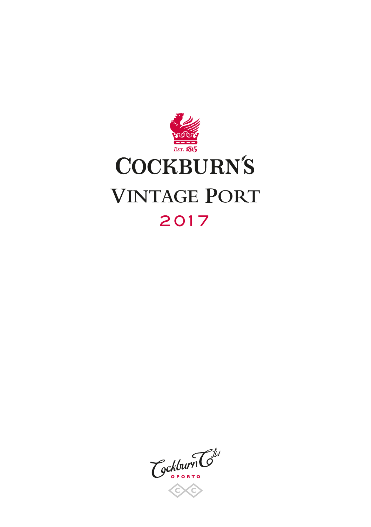

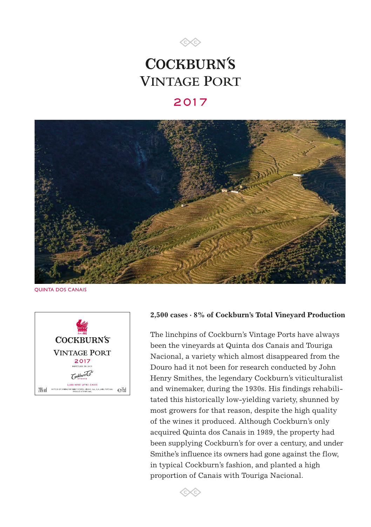

# **COCKBURN'S VINTAGE PORT**

# 2017



QUINTA DOS CANAIS



## **2,500 cases · 8% of Cockburn's Total Vineyard Production**

The linchpins of Cockburn's Vintage Ports have always been the vineyards at Quinta dos Canais and Touriga Nacional, a variety which almost disappeared from the Douro had it not been for research conducted by John Henry Smithes, the legendary Cockburn's viticulturalist and winemaker, during the 1930s. His findings rehabilitated this historically low-yielding variety, shunned by most growers for that reason, despite the high quality of the wines it produced. Although Cockburn's only acquired Quinta dos Canais in 1989, the property had been supplying Cockburn's for over a century, and under Smithe's influence its owners had gone against the flow, in typical Cockburn's fashion, and planted a high proportion of Canais with Touriga Nacional.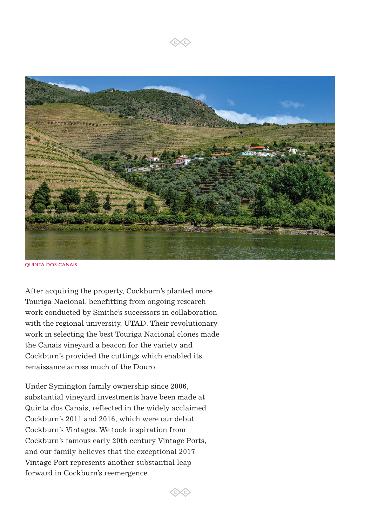

QUINTA DOS CANAIS

After acquiring the property, Cockburn's planted more Touriga Nacional, benefitting from ongoing research work conducted by Smithe's successors in collaboration with the regional university, UTAD. Their revolutionary work in selecting the best Touriga Nacional clones made the Canais vineyard a beacon for the variety and Cockburn's provided the cuttings which enabled its renaissance across much of the Douro.

Under Symington family ownership since 2006, substantial vineyard investments have been made at Quinta dos Canais, reflected in the widely acclaimed Cockburn's 2011 and 2016, which were our debut Cockburn's Vintages. We took inspiration from Cockburn's famous early 20th century Vintage Ports, and our family believes that the exceptional 2017 Vintage Port represents another substantial leap forward in Cockburn's reemergence.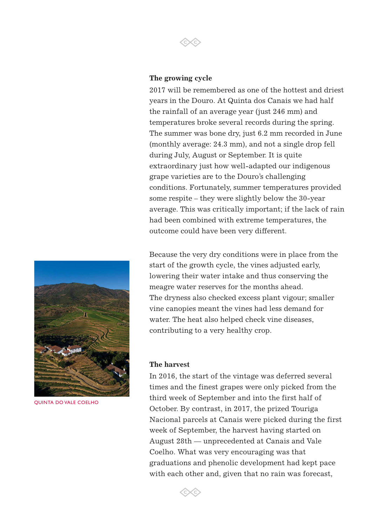

2017 will be remembered as one of the hottest and driest years in the Douro. At Quinta dos Canais we had half the rainfall of an average year (just 246 mm) and temperatures broke several records during the spring. The summer was bone dry, just 6.2 mm recorded in June (monthly average: 24.3 mm), and not a single drop fell during July, August or September. It is quite extraordinary just how well-adapted our indigenous grape varieties are to the Douro's challenging conditions. Fortunately, summer temperatures provided some respite – they were slightly below the 30-year average. This was critically important; if the lack of rain had been combined with extreme temperatures, the outcome could have been very different.



QUINTA DO VALE COELHO

Because the very dry conditions were in place from the start of the growth cycle, the vines adjusted early, lowering their water intake and thus conserving the meagre water reserves for the months ahead. The dryness also checked excess plant vigour; smaller vine canopies meant the vines had less demand for water. The heat also helped check vine diseases, contributing to a very healthy crop.

### **The harvest**

In 2016, the start of the vintage was deferred several times and the finest grapes were only picked from the third week of September and into the first half of October. By contrast, in 2017, the prized Touriga Nacional parcels at Canais were picked during the first week of September, the harvest having started on August 28th — unprecedented at Canais and Vale Coelho. What was very encouraging was that graduations and phenolic development had kept pace with each other and, given that no rain was forecast,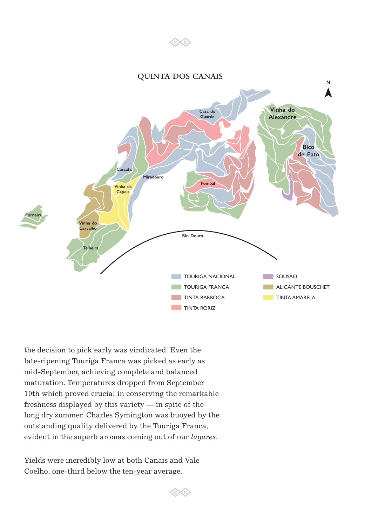

6Xc

the decision to pick early was vindicated. Even the late-ripening Touriga Franca was picked as early as mid-September, achieving complete and balanced maturation. Temperatures dropped from September 10th which proved crucial in conserving the remarkable freshness displayed by this variety — in spite of the long dry summer. Charles Symington was buoyed by the outstanding quality delivered by the Touriga Franca, evident in the superb aromas coming out of our *lagares*.

Yields were incredibly low at both Canais and Vale Coelho, one-third below the ten-year average.